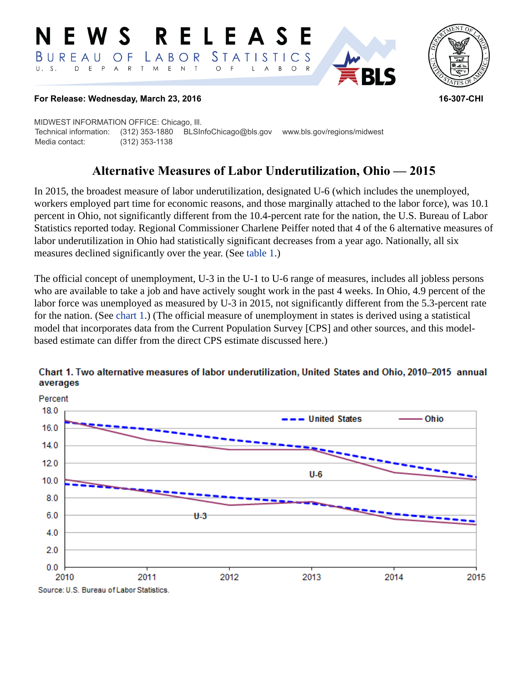#### RELEASE **N E W S** *STATISTICS* BUREAU LABOR O F  $E$  N  $\top$ D E P  $\overline{A}$  $\mathsf{R}$  $\top$  $M_{\odot}$  $\circ$  $\circ$ B



#### **For Release: Wednesday, March 23, 2016 16-307-CHI**

MIDWEST INFORMATION OFFICE: Chicago, Ill. Technical information: (312) 353-1880 BLSInfoChicago@bls.gov www.bls.gov/regions/midwest Media contact: (312) 353-1138

# **Alternative Measures of Labor Underutilization, Ohio — 2015**

In 2015, the broadest measure of labor underutilization, designated U-6 (which includes the unemployed, workers employed part time for economic reasons, and those marginally attached to the labor force), was 10.1 percent in Ohio, not significantly different from the 10.4-percent rate for the nation, the U.S. Bureau of Labor Statistics reported today. Regional Commissioner Charlene Peiffer noted that 4 of the 6 alternative measures of labor underutilization in Ohio had statistically significant decreases from a year ago. Nationally, all six measures declined significantly over the year. (See [table 1](#page-3-0).)

The official concept of unemployment, U-3 in the U-1 to U-6 range of measures, includes all jobless persons who are available to take a job and have actively sought work in the past 4 weeks. In Ohio, 4.9 percent of the labor force was unemployed as measured by U-3 in 2015, not significantly different from the 5.3-percent rate for the nation. (See [chart 1.](#page-0-0)) (The official measure of unemployment in states is derived using a statistical model that incorporates data from the Current Population Survey [CPS] and other sources, and this modelbased estimate can differ from the direct CPS estimate discussed here.)



#### <span id="page-0-0"></span>Chart 1. Two alternative measures of labor underutilization, United States and Ohio, 2010-2015 annual averages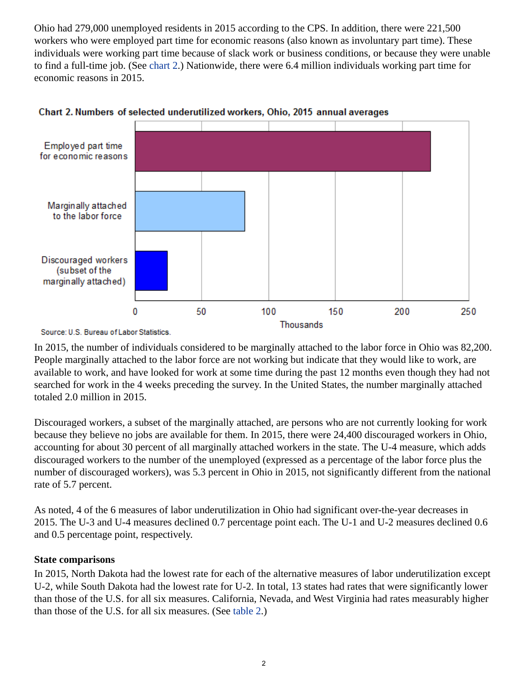Ohio had 279,000 unemployed residents in 2015 according to the CPS. In addition, there were 221,500 workers who were employed part time for economic reasons (also known as involuntary part time). These individuals were working part time because of slack work or business conditions, or because they were unable to find a full-time job. (See [chart 2](#page-1-0).) Nationwide, there were 6.4 million individuals working part time for economic reasons in 2015.



<span id="page-1-0"></span>

In 2015, the number of individuals considered to be marginally attached to the labor force in Ohio was 82,200. People marginally attached to the labor force are not working but indicate that they would like to work, are available to work, and have looked for work at some time during the past 12 months even though they had not searched for work in the 4 weeks preceding the survey. In the United States, the number marginally attached totaled 2.0 million in 2015.

Discouraged workers, a subset of the marginally attached, are persons who are not currently looking for work because they believe no jobs are available for them. In 2015, there were 24,400 discouraged workers in Ohio, accounting for about 30 percent of all marginally attached workers in the state. The U-4 measure, which adds discouraged workers to the number of the unemployed (expressed as a percentage of the labor force plus the number of discouraged workers), was 5.3 percent in Ohio in 2015, not significantly different from the national rate of 5.7 percent.

As noted, 4 of the 6 measures of labor underutilization in Ohio had significant over-the-year decreases in 2015. The U-3 and U-4 measures declined 0.7 percentage point each. The U-1 and U-2 measures declined 0.6 and 0.5 percentage point, respectively.

#### **State comparisons**

In 2015, North Dakota had the lowest rate for each of the alternative measures of labor underutilization except U-2, while South Dakota had the lowest rate for U-2. In total, 13 states had rates that were significantly lower than those of the U.S. for all six measures. California, Nevada, and West Virginia had rates measurably higher than those of the U.S. for all six measures. (See [table 2.](#page-4-0))

Source: U.S. Bureau of Labor Statistics.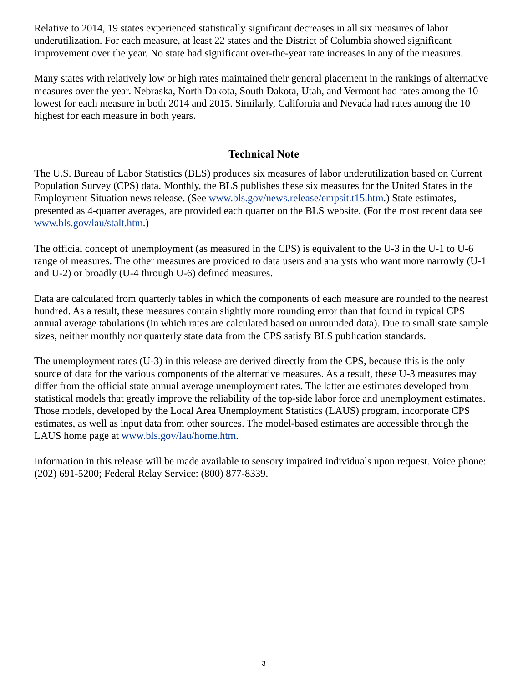Relative to 2014, 19 states experienced statistically significant decreases in all six measures of labor underutilization. For each measure, at least 22 states and the District of Columbia showed significant improvement over the year. No state had significant over-the-year rate increases in any of the measures.

Many states with relatively low or high rates maintained their general placement in the rankings of alternative measures over the year. Nebraska, North Dakota, South Dakota, Utah, and Vermont had rates among the 10 lowest for each measure in both 2014 and 2015. Similarly, California and Nevada had rates among the 10 highest for each measure in both years.

## **Technical Note**

The U.S. Bureau of Labor Statistics (BLS) produces six measures of labor underutilization based on Current Population Survey (CPS) data. Monthly, the BLS publishes these six measures for the United States in the Employment Situation news release. (See [www.bls.gov/news.release/empsit.t15.htm.](https://www.bls.gov/news.release/empsit.t15.htm)) State estimates, presented as 4-quarter averages, are provided each quarter on the BLS website. (For the most recent data see [www.bls.gov/lau/stalt.htm.](https://www.bls.gov/lau/stalt.htm))

The official concept of unemployment (as measured in the CPS) is equivalent to the U-3 in the U-1 to U-6 range of measures. The other measures are provided to data users and analysts who want more narrowly (U-1 and U-2) or broadly (U-4 through U-6) defined measures.

Data are calculated from quarterly tables in which the components of each measure are rounded to the nearest hundred. As a result, these measures contain slightly more rounding error than that found in typical CPS annual average tabulations (in which rates are calculated based on unrounded data). Due to small state sample sizes, neither monthly nor quarterly state data from the CPS satisfy BLS publication standards.

The unemployment rates (U-3) in this release are derived directly from the CPS, because this is the only source of data for the various components of the alternative measures. As a result, these U-3 measures may differ from the official state annual average unemployment rates. The latter are estimates developed from statistical models that greatly improve the reliability of the top-side labor force and unemployment estimates. Those models, developed by the Local Area Unemployment Statistics (LAUS) program, incorporate CPS estimates, as well as input data from other sources. The model-based estimates are accessible through the LAUS home page at [www.bls.gov/lau/home.htm.](https://www.bls.gov/lau/home.htm)

Information in this release will be made available to sensory impaired individuals upon request. Voice phone: (202) 691-5200; Federal Relay Service: (800) 877-8339.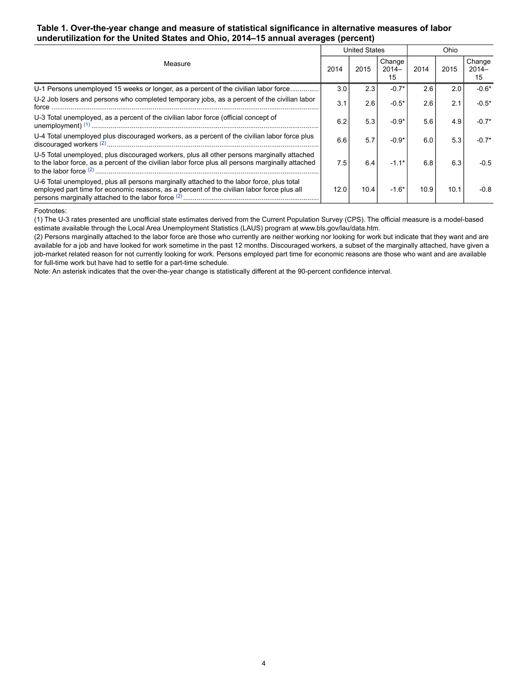#### <span id="page-3-0"></span>**Table 1. Over-the-year change and measure of statistical significance in alternative measures of labor underutilization for the United States and Ohio, 2014–15 annual averages (percent)**

| Measure                                                                                                                                                                                         |      | <b>United States</b> |                         |      | Ohio |                         |  |
|-------------------------------------------------------------------------------------------------------------------------------------------------------------------------------------------------|------|----------------------|-------------------------|------|------|-------------------------|--|
|                                                                                                                                                                                                 |      | 2015                 | Change<br>$2014-$<br>15 | 2014 | 2015 | Change<br>$2014-$<br>15 |  |
| U-1 Persons unemployed 15 weeks or longer, as a percent of the civilian labor force                                                                                                             | 3.0  | 2.3                  | $-0.7*$                 | 2.6  | 2.0  | $-0.6*$                 |  |
| U-2 Job losers and persons who completed temporary jobs, as a percent of the civilian labor<br>force                                                                                            | 3.1  | 2.6                  | $-0.5*$                 | 2.6  | 2.1  | $-0.5*$                 |  |
| U-3 Total unemployed, as a percent of the civilian labor force (official concept of                                                                                                             | 6.2  | 5.3                  | $-0.9*$                 | 5.6  | 4.9  | $-0.7*$                 |  |
| U-4 Total unemployed plus discouraged workers, as a percent of the civilian labor force plus                                                                                                    | 6.6  | 5.7                  | $-0.9*$                 | 6.0  | 5.3  | $-0.7*$                 |  |
| U-5 Total unemployed, plus discouraged workers, plus all other persons marginally attached<br>to the labor force, as a percent of the civilian labor force plus all persons marginally attached | 7.5  | 6.4                  | $-1.1*$                 | 6.8  | 6.3  | $-0.5$                  |  |
| U-6 Total unemployed, plus all persons marginally attached to the labor force, plus total<br>employed part time for economic reasons, as a percent of the civilian labor force plus all         | 12.0 | 10.4                 | $-1.6*$                 | 10.9 | 10.1 | $-0.8$                  |  |

#### <span id="page-3-1"></span>Footnotes:

(1) The U-3 rates presented are unofficial state estimates derived from the Current Population Survey (CPS). The official measure is a model-based estimate available through the Local Area Unemployment Statistics (LAUS) program at www.bls.gov/lau/data.htm.

(2) Persons marginally attached to the labor force are those who currently are neither working nor looking for work but indicate that they want and are available for a job and have looked for work sometime in the past 12 months. Discouraged workers, a subset of the marginally attached, have given a job-market related reason for not currently looking for work. Persons employed part time for economic reasons are those who want and are available for full-time work but have had to settle for a part-time schedule.

Note: An asterisk indicates that the over-the-year change is statistically different at the 90-percent confidence interval.